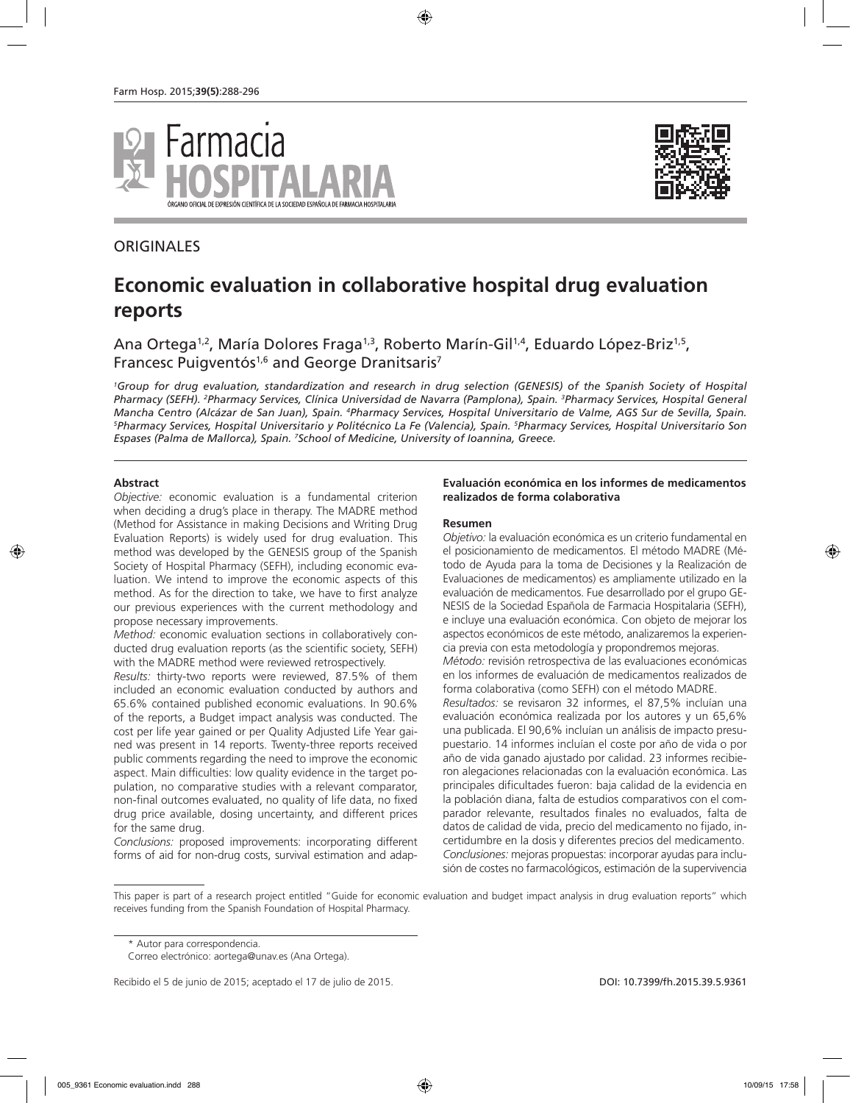





# **Economic evaluation in collaborative hospital drug evaluation reports**

Ana Ortega<sup>1,2</sup>, María Dolores Fraga<sup>1,3</sup>, Roberto Marín-Gil<sup>1,4</sup>, Eduardo López-Briz<sup>1,5</sup>, Francesc Puigventós<sup>1,6</sup> and George Dranitsaris<sup>7</sup>

*1 Group for drug evaluation, standardization and research in drug selection (GENESIS) of the Spanish Society of Hospital Pharmacy (SEFH). 2 Pharmacy Services, Clínica Universidad de Navarra (Pamplona), Spain. 3 Pharmacy Services, Hospital General*  Mancha Centro (Alcázar de San Juan), Spain. <sup>a</sup>Pharmacy Services, Hospital Universitario de Valme, AGS Sur de Sevilla, Spain.<br><sup>5</sup>Pharmacy Services, Hospital Universitario y Politécnico La Fe (Valencia), Spain, <sup>5</sup>Pharmacy *Pharmacy Services, Hospital Universitario y Politécnico La Fe (Valencia), Spain. 5 Pharmacy Services, Hospital Universitario Son Espases (Palma de Mallorca), Spain. 7 School of Medicine, University of Ioannina, Greece.*

### **Abstract**

*Objective:* economic evaluation is a fundamental criterion when deciding a drug's place in therapy. The MADRE method (Method for Assistance in making Decisions and Writing Drug Evaluation Reports) is widely used for drug evaluation. This method was developed by the GENESIS group of the Spanish Society of Hospital Pharmacy (SEFH), including economic evaluation. We intend to improve the economic aspects of this method. As for the direction to take, we have to first analyze our previous experiences with the current methodology and propose necessary improvements.

*Method:* economic evaluation sections in collaboratively conducted drug evaluation reports (as the scientific society, SEFH) with the MADRE method were reviewed retrospectively.

*Results:* thirty-two reports were reviewed, 87.5% of them included an economic evaluation conducted by authors and 65.6% contained published economic evaluations. In 90.6% of the reports, a Budget impact analysis was conducted. The cost per life year gained or per Quality Adjusted Life Year gained was present in 14 reports. Twenty-three reports received public comments regarding the need to improve the economic aspect. Main difficulties: low quality evidence in the target population, no comparative studies with a relevant comparator, non-final outcomes evaluated, no quality of life data, no fixed drug price available, dosing uncertainty, and different prices for the same drug.

*Conclusions:* proposed improvements: incorporating different forms of aid for non-drug costs, survival estimation and adap-

### **Evaluación económica en los informes de medicamentos realizados de forma colaborativa**

#### **Resumen**

*Objetivo:* la evaluación económica es un criterio fundamental en el posicionamiento de medicamentos. El método MADRE (Método de Ayuda para la toma de Decisiones y la Realización de Evaluaciones de medicamentos) es ampliamente utilizado en la evaluación de medicamentos. Fue desarrollado por el grupo GE-NESIS de la Sociedad Española de Farmacia Hospitalaria (SEFH), e incluye una evaluación económica. Con objeto de mejorar los aspectos económicos de este método, analizaremos la experiencia previa con esta metodología y propondremos mejoras.

*Método:* revisión retrospectiva de las evaluaciones económicas en los informes de evaluación de medicamentos realizados de forma colaborativa (como SEFH) con el método MADRE.

*Resultados:* se revisaron 32 informes, el 87,5% incluían una evaluación económica realizada por los autores y un 65,6% una publicada. El 90,6% incluían un análisis de impacto presupuestario. 14 informes incluían el coste por año de vida o por año de vida ganado ajustado por calidad. 23 informes recibieron alegaciones relacionadas con la evaluación económica. Las principales dificultades fueron: baja calidad de la evidencia en la población diana, falta de estudios comparativos con el comparador relevante, resultados finales no evaluados, falta de datos de calidad de vida, precio del medicamento no fijado, incertidumbre en la dosis y diferentes precios del medicamento. *Conclusiones:* mejoras propuestas: incorporar ayudas para inclusión de costes no farmacológicos, estimación de la supervivencia

This paper is part of a research project entitled "Guide for economic evaluation and budget impact analysis in drug evaluation reports" which receives funding from the Spanish Foundation of Hospital Pharmacy.

<sup>\*</sup> Autor para correspondencia.

Correo electrónico: aortega@unav.es (Ana Ortega).

Recibido el 5 de junio de 2015; aceptado el 17 de julio de 2015. DOI: 10.7399/fh.2015.39.5.9361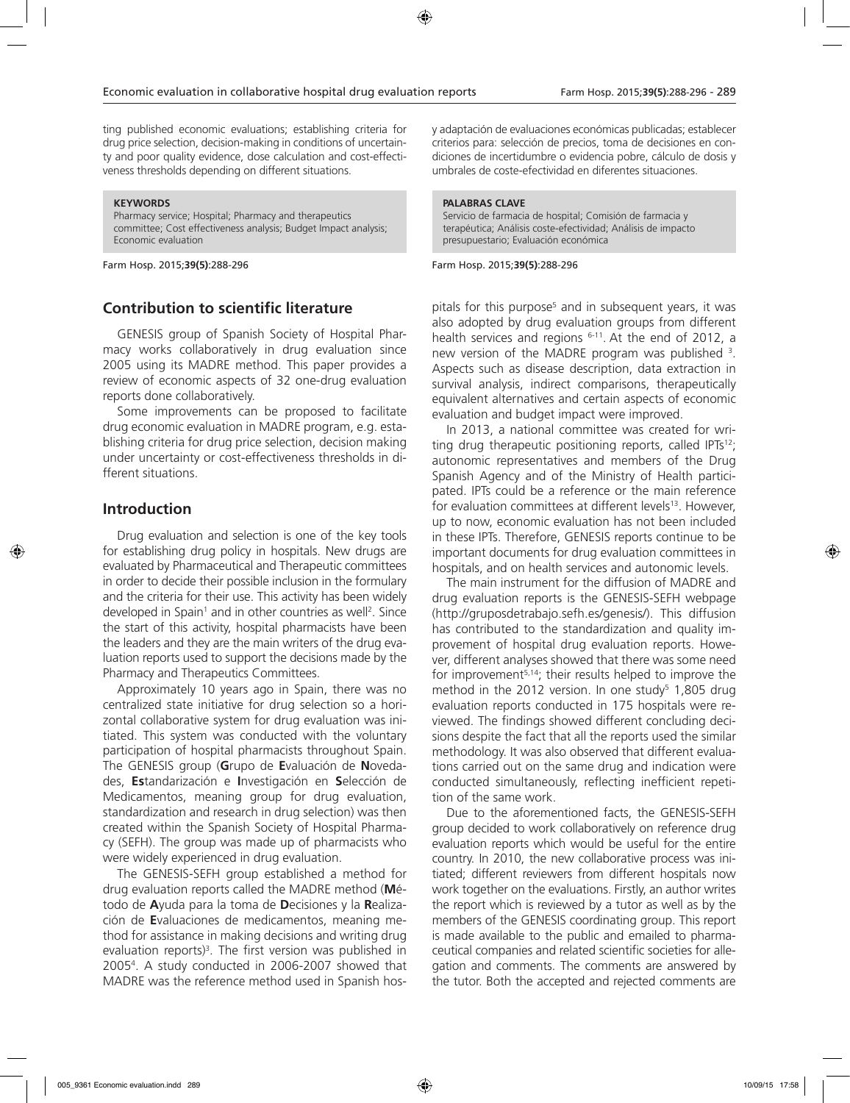ting published economic evaluations; establishing criteria for drug price selection, decision-making in conditions of uncertainty and poor quality evidence, dose calculation and cost-effectiveness thresholds depending on different situations.

#### **KEYWORDS**

Pharmacy service; Hospital; Pharmacy and therapeutics committee; Cost effectiveness analysis; Budget Impact analysis; Economic evaluation

Farm Hosp. 2015;**39(5)**:288-296

# **Contribution to scientific literature**

GENESIS group of Spanish Society of Hospital Pharmacy works collaboratively in drug evaluation since 2005 using its MADRE method. This paper provides a review of economic aspects of 32 one-drug evaluation reports done collaboratively.

Some improvements can be proposed to facilitate drug economic evaluation in MADRE program, e.g. establishing criteria for drug price selection, decision making under uncertainty or cost-effectiveness thresholds in different situations.

### **Introduction**

Drug evaluation and selection is one of the key tools for establishing drug policy in hospitals. New drugs are evaluated by Pharmaceutical and Therapeutic committees in order to decide their possible inclusion in the formulary and the criteria for their use. This activity has been widely developed in Spain<sup>1</sup> and in other countries as well<sup>2</sup>. Since the start of this activity, hospital pharmacists have been the leaders and they are the main writers of the drug evaluation reports used to support the decisions made by the Pharmacy and Therapeutics Committees.

Approximately 10 years ago in Spain, there was no centralized state initiative for drug selection so a horizontal collaborative system for drug evaluation was initiated. This system was conducted with the voluntary participation of hospital pharmacists throughout Spain. The GENESIS group (**G**rupo de **E**valuación de **N**ovedades, **Es**tandarización e **I**nvestigación en **S**elección de Medicamentos, meaning group for drug evaluation, standardization and research in drug selection) was then created within the Spanish Society of Hospital Pharmacy (SEFH). The group was made up of pharmacists who were widely experienced in drug evaluation.

The GENESIS-SEFH group established a method for drug evaluation reports called the MADRE method (**M**étodo de **A**yuda para la toma de **D**ecisiones y la **R**ealización de **E**valuaciones de medicamentos, meaning method for assistance in making decisions and writing drug evaluation reports)<sup>3</sup>. The first version was published in 20054 . A study conducted in 2006-2007 showed that MADRE was the reference method used in Spanish hosy adaptación de evaluaciones económicas publicadas; establecer criterios para: selección de precios, toma de decisiones en condiciones de incertidumbre o evidencia pobre, cálculo de dosis y umbrales de coste-efectividad en diferentes situaciones.

#### **PALABRAS CLAVE**

Servicio de farmacia de hospital; Comisión de farmacia y terapéutica; Análisis coste-efectividad; Análisis de impacto presupuestario; Evaluación económica

Farm Hosp. 2015;**39(5)**:288-296

pitals for this purpose<sup>5</sup> and in subsequent years, it was also adopted by drug evaluation groups from different health services and regions  $6-11$ . At the end of 2012, a new version of the MADRE program was published 3 . Aspects such as disease description, data extraction in survival analysis, indirect comparisons, therapeutically equivalent alternatives and certain aspects of economic evaluation and budget impact were improved.

In 2013, a national committee was created for writing drug therapeutic positioning reports, called IPTs<sup>12</sup>; autonomic representatives and members of the Drug Spanish Agency and of the Ministry of Health participated. IPTs could be a reference or the main reference for evaluation committees at different levels<sup>13</sup>. However, up to now, economic evaluation has not been included in these IPTs. Therefore, GENESIS reports continue to be important documents for drug evaluation committees in hospitals, and on health services and autonomic levels.

The main instrument for the diffusion of MADRE and drug evaluation reports is the GENESIS-SEFH webpage (http://gruposdetrabajo.sefh.es/genesis/). This diffusion has contributed to the standardization and quality improvement of hospital drug evaluation reports. However, different analyses showed that there was some need for improvement<sup>5,14</sup>; their results helped to improve the method in the 2012 version. In one study<sup>5</sup> 1,805 drug evaluation reports conducted in 175 hospitals were reviewed. The findings showed different concluding decisions despite the fact that all the reports used the similar methodology. It was also observed that different evaluations carried out on the same drug and indication were conducted simultaneously, reflecting inefficient repetition of the same work.

Due to the aforementioned facts, the GENESIS-SEFH group decided to work collaboratively on reference drug evaluation reports which would be useful for the entire country. In 2010, the new collaborative process was initiated; different reviewers from different hospitals now work together on the evaluations. Firstly, an author writes the report which is reviewed by a tutor as well as by the members of the GENESIS coordinating group. This report is made available to the public and emailed to pharmaceutical companies and related scientific societies for allegation and comments. The comments are answered by the tutor. Both the accepted and rejected comments are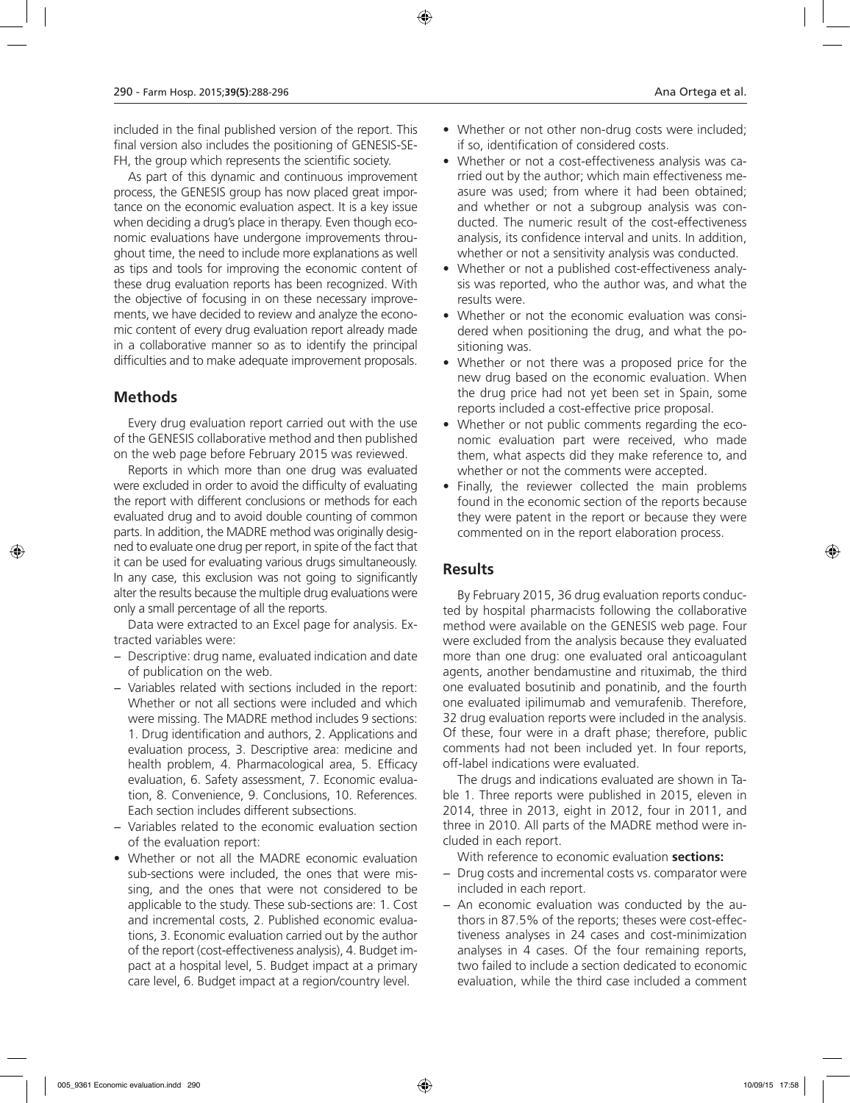included in the final published version of the report. This final version also includes the positioning of GENESIS-SE-FH, the group which represents the scientific society.

As part of this dynamic and continuous improvement process, the GENESIS group has now placed great importance on the economic evaluation aspect. It is a key issue when deciding a drug's place in therapy. Even though economic evaluations have undergone improvements throughout time, the need to include more explanations as well as tips and tools for improving the economic content of these drug evaluation reports has been recognized. With the objective of focusing in on these necessary improvements, we have decided to review and analyze the economic content of every drug evaluation report already made in a collaborative manner so as to identify the principal difficulties and to make adequate improvement proposals.

# **Methods**

Every drug evaluation report carried out with the use of the GENESIS collaborative method and then published on the web page before February 2015 was reviewed.

Reports in which more than one drug was evaluated were excluded in order to avoid the difficulty of evaluating the report with different conclusions or methods for each evaluated drug and to avoid double counting of common parts. In addition, the MADRE method was originally designed to evaluate one drug per report, in spite of the fact that it can be used for evaluating various drugs simultaneously. In any case, this exclusion was not going to significantly alter the results because the multiple drug evaluations were only a small percentage of all the reports.

Data were extracted to an Excel page for analysis. Extracted variables were:

- − Descriptive: drug name, evaluated indication and date of publication on the web.
- − Variables related with sections included in the report: Whether or not all sections were included and which were missing. The MADRE method includes 9 sections: 1. Drug identification and authors, 2. Applications and evaluation process, 3. Descriptive area: medicine and health problem, 4. Pharmacological area, 5. Efficacy evaluation, 6. Safety assessment, 7. Economic evaluation, 8. Convenience, 9. Conclusions, 10. References. Each section includes different subsections.
- − Variables related to the economic evaluation section of the evaluation report:
- Whether or not all the MADRE economic evaluation sub-sections were included, the ones that were missing, and the ones that were not considered to be applicable to the study. These sub-sections are: 1. Cost and incremental costs, 2. Published economic evaluations, 3. Economic evaluation carried out by the author of the report (cost-effectiveness analysis), 4. Budget impact at a hospital level, 5. Budget impact at a primary care level, 6. Budget impact at a region/country level.
- Whether or not other non-drug costs were included; if so, identification of considered costs.
- Whether or not a cost-effectiveness analysis was carried out by the author; which main effectiveness measure was used; from where it had been obtained; and whether or not a subgroup analysis was conducted. The numeric result of the cost-effectiveness analysis, its confidence interval and units. In addition, whether or not a sensitivity analysis was conducted.
- Whether or not a published cost-effectiveness analysis was reported, who the author was, and what the results were.
- Whether or not the economic evaluation was considered when positioning the drug, and what the positioning was.
- Whether or not there was a proposed price for the new drug based on the economic evaluation. When the drug price had not yet been set in Spain, some reports included a cost-effective price proposal.
- Whether or not public comments regarding the economic evaluation part were received, who made them, what aspects did they make reference to, and whether or not the comments were accepted.
- Finally, the reviewer collected the main problems found in the economic section of the reports because they were patent in the report or because they were commented on in the report elaboration process.

# **Results**

By February 2015, 36 drug evaluation reports conducted by hospital pharmacists following the collaborative method were available on the GENESIS web page. Four were excluded from the analysis because they evaluated more than one drug: one evaluated oral anticoagulant agents, another bendamustine and rituximab, the third one evaluated bosutinib and ponatinib, and the fourth one evaluated ipilimumab and vemurafenib. Therefore, 32 drug evaluation reports were included in the analysis. Of these, four were in a draft phase; therefore, public comments had not been included yet. In four reports, off-label indications were evaluated.

The drugs and indications evaluated are shown in Table 1. Three reports were published in 2015, eleven in 2014, three in 2013, eight in 2012, four in 2011, and three in 2010. All parts of the MADRE method were included in each report.

With reference to economic evaluation **sections:**

- − Drug costs and incremental costs vs. comparator were included in each report.
- − An economic evaluation was conducted by the authors in 87.5% of the reports; theses were cost-effectiveness analyses in 24 cases and cost-minimization analyses in 4 cases. Of the four remaining reports, two failed to include a section dedicated to economic evaluation, while the third case included a comment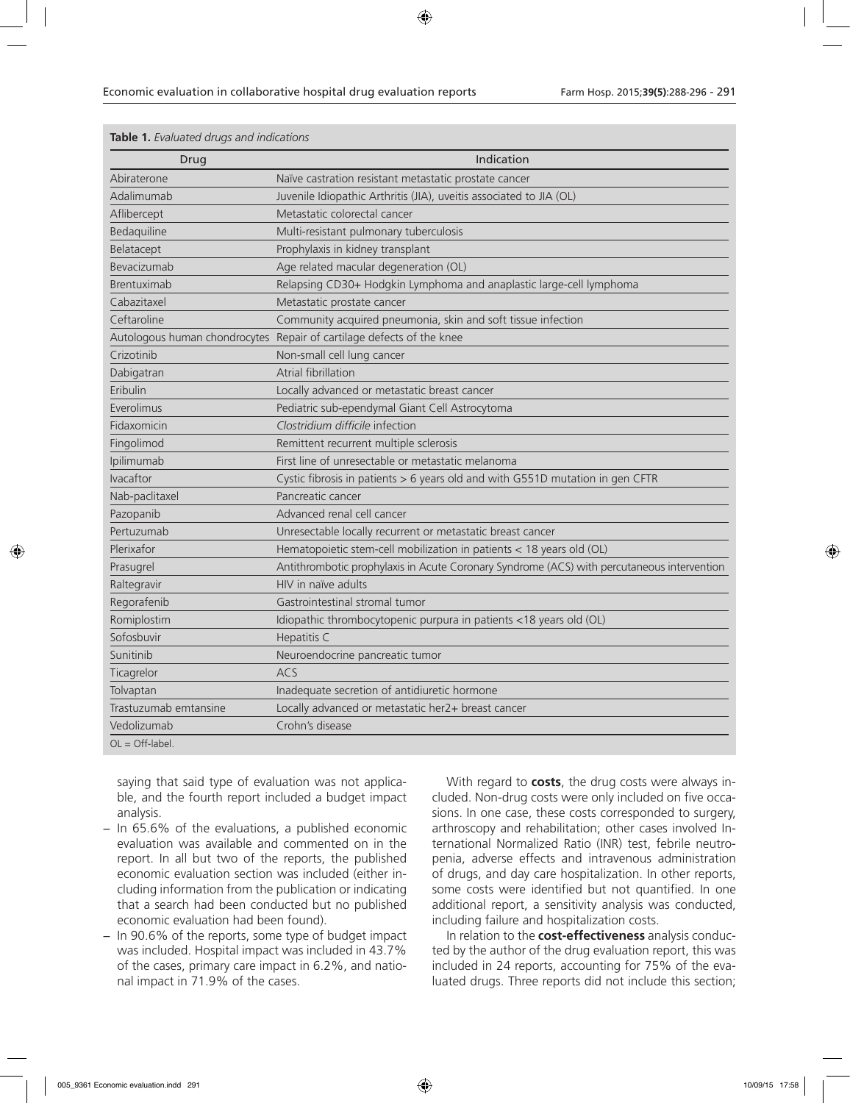| Drug                  | Indication                                                                                 |
|-----------------------|--------------------------------------------------------------------------------------------|
| Abiraterone           | Naïve castration resistant metastatic prostate cancer                                      |
| Adalimumab            | Juvenile Idiopathic Arthritis (JIA), uveitis associated to JIA (OL)                        |
| Aflibercept           | Metastatic colorectal cancer                                                               |
| Bedaquiline           | Multi-resistant pulmonary tuberculosis                                                     |
| Belatacept            | Prophylaxis in kidney transplant                                                           |
| Bevacizumab           | Age related macular degeneration (OL)                                                      |
| Brentuximab           | Relapsing CD30+ Hodgkin Lymphoma and anaplastic large-cell lymphoma                        |
| Cabazitaxel           | Metastatic prostate cancer                                                                 |
| Ceftaroline           | Community acquired pneumonia, skin and soft tissue infection                               |
|                       | Autologous human chondrocytes Repair of cartilage defects of the knee                      |
| Crizotinib            | Non-small cell lung cancer                                                                 |
| Dabigatran            | Atrial fibrillation                                                                        |
| Eribulin              | Locally advanced or metastatic breast cancer                                               |
| Everolimus            | Pediatric sub-ependymal Giant Cell Astrocytoma                                             |
| Fidaxomicin           | Clostridium difficile infection                                                            |
| Fingolimod            | Remittent recurrent multiple sclerosis                                                     |
| Ipilimumab            | First line of unresectable or metastatic melanoma                                          |
| Ivacaftor             | Cystic fibrosis in patients > 6 years old and with G551D mutation in gen CFTR              |
| Nab-paclitaxel        | Pancreatic cancer                                                                          |
| Pazopanib             | Advanced renal cell cancer                                                                 |
| Pertuzumab            | Unresectable locally recurrent or metastatic breast cancer                                 |
| Plerixafor            | Hematopoietic stem-cell mobilization in patients < 18 years old (OL)                       |
| Prasugrel             | Antithrombotic prophylaxis in Acute Coronary Syndrome (ACS) with percutaneous intervention |
| Raltegravir           | HIV in naïve adults                                                                        |
| Regorafenib           | Gastrointestinal stromal tumor                                                             |
| Romiplostim           | Idiopathic thrombocytopenic purpura in patients <18 years old (OL)                         |
| Sofosbuvir            | Hepatitis C                                                                                |
| Sunitinib             | Neuroendocrine pancreatic tumor                                                            |
| Ticagrelor            | <b>ACS</b>                                                                                 |
| Tolvaptan             | Inadequate secretion of antidiuretic hormone                                               |
| Trastuzumab emtansine | Locally advanced or metastatic her2+ breast cancer                                         |
| Vedolizumab           | Crohn's disease                                                                            |
| $OL = Off-label.$     |                                                                                            |

### **Table 1.** *Evaluated drugs and indications*

saying that said type of evaluation was not applicable, and the fourth report included a budget impact analysis.

- − In 65.6% of the evaluations, a published economic evaluation was available and commented on in the report. In all but two of the reports, the published economic evaluation section was included (either including information from the publication or indicating that a search had been conducted but no published economic evaluation had been found).
- − In 90.6% of the reports, some type of budget impact was included. Hospital impact was included in 43.7% of the cases, primary care impact in 6.2%, and national impact in 71.9% of the cases.

With regard to **costs**, the drug costs were always included. Non-drug costs were only included on five occasions. In one case, these costs corresponded to surgery, arthroscopy and rehabilitation; other cases involved International Normalized Ratio (INR) test, febrile neutropenia, adverse effects and intravenous administration of drugs, and day care hospitalization. In other reports, some costs were identified but not quantified. In one additional report, a sensitivity analysis was conducted, including failure and hospitalization costs.

In relation to the **cost-effectiveness** analysis conducted by the author of the drug evaluation report, this was included in 24 reports, accounting for 75% of the evaluated drugs. Three reports did not include this section;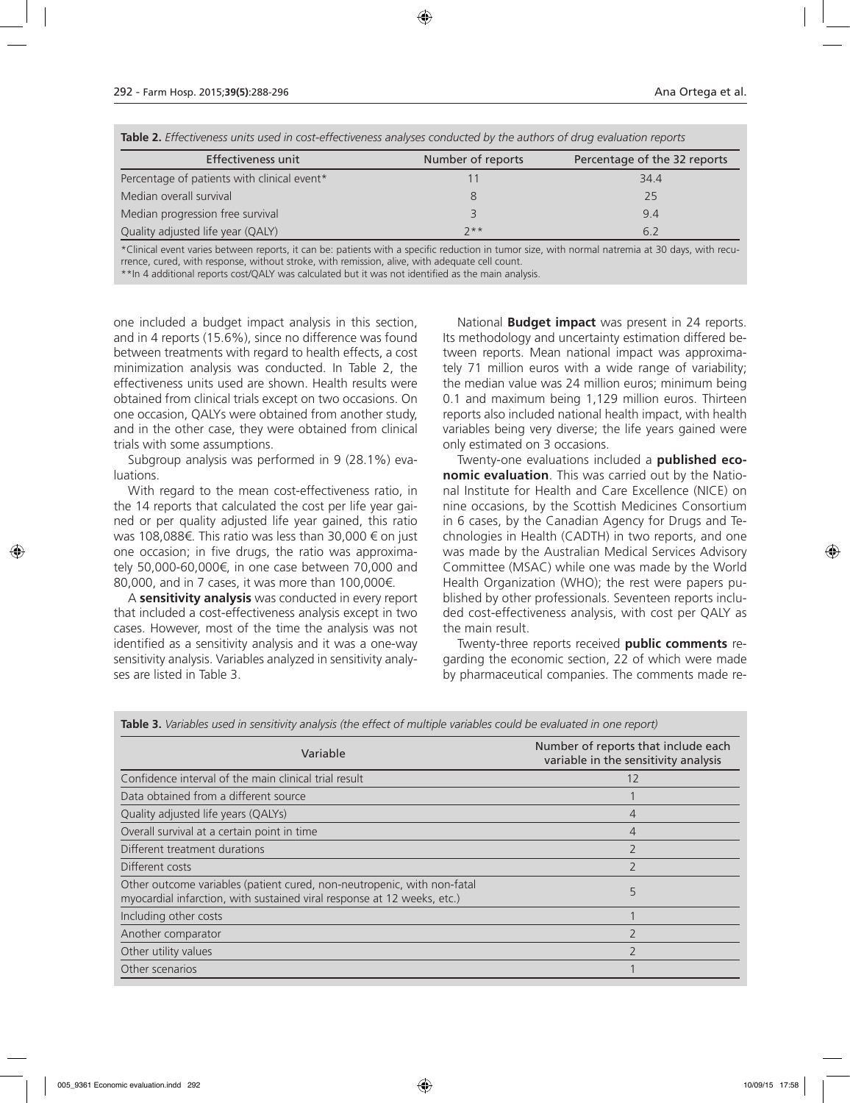| <b>TODIC 4.</b> LITCCOVCHCSS anno ascami cost chiccovchcss analyses conducted by the additions of analy cyaluddion reports |                   |                              |  |  |
|----------------------------------------------------------------------------------------------------------------------------|-------------------|------------------------------|--|--|
| Effectiveness unit                                                                                                         | Number of reports | Percentage of the 32 reports |  |  |
| Percentage of patients with clinical event*                                                                                |                   | 34.4                         |  |  |
| Median overall survival                                                                                                    |                   | 25                           |  |  |
| Median progression free survival                                                                                           |                   | 9.4                          |  |  |
| Quality adjusted life year (QALY)                                                                                          | $7**$             | 6.2                          |  |  |

**Table 2.** *Effectiveness units used in cost-effectiveness analyses conducted by the authors of drug evaluation reports*

\*Clinical event varies between reports, it can be: patients with a specific reduction in tumor size, with normal natremia at 30 days, with recurrence, cured, with response, without stroke, with remission, alive, with adequate cell count.

\*\*In 4 additional reports cost/QALY was calculated but it was not identified as the main analysis.

one included a budget impact analysis in this section, and in 4 reports (15.6%), since no difference was found between treatments with regard to health effects, a cost minimization analysis was conducted. In Table 2, the effectiveness units used are shown. Health results were obtained from clinical trials except on two occasions. On one occasion, QALYs were obtained from another study, and in the other case, they were obtained from clinical trials with some assumptions.

Subgroup analysis was performed in 9 (28.1%) evaluations.

With regard to the mean cost-effectiveness ratio, in the 14 reports that calculated the cost per life year gained or per quality adjusted life year gained, this ratio was 108,088€. This ratio was less than 30,000 € on just one occasion; in five drugs, the ratio was approximately 50,000-60,000€, in one case between 70,000 and 80,000, and in 7 cases, it was more than 100,000€.

A **sensitivity analysis** was conducted in every report that included a cost-effectiveness analysis except in two cases. However, most of the time the analysis was not identified as a sensitivity analysis and it was a one-way sensitivity analysis. Variables analyzed in sensitivity analyses are listed in Table 3.

National **Budget impact** was present in 24 reports. Its methodology and uncertainty estimation differed between reports. Mean national impact was approximately 71 million euros with a wide range of variability; the median value was 24 million euros; minimum being 0.1 and maximum being 1,129 million euros. Thirteen reports also included national health impact, with health variables being very diverse; the life years gained were only estimated on 3 occasions.

Twenty-one evaluations included a **published economic evaluation**. This was carried out by the National Institute for Health and Care Excellence (NICE) on nine occasions, by the Scottish Medicines Consortium in 6 cases, by the Canadian Agency for Drugs and Technologies in Health (CADTH) in two reports, and one was made by the Australian Medical Services Advisory Committee (MSAC) while one was made by the World Health Organization (WHO); the rest were papers published by other professionals. Seventeen reports included cost-effectiveness analysis, with cost per QALY as the main result.

Twenty-three reports received **public comments** regarding the economic section, 22 of which were made by pharmaceutical companies. The comments made re-

| Variable                                                                                                                                           | Number of reports that include each<br>variable in the sensitivity analysis |
|----------------------------------------------------------------------------------------------------------------------------------------------------|-----------------------------------------------------------------------------|
| Confidence interval of the main clinical trial result                                                                                              | 12                                                                          |
| Data obtained from a different source                                                                                                              |                                                                             |
| Quality adjusted life years (QALYs)                                                                                                                | 4                                                                           |
| Overall survival at a certain point in time                                                                                                        | 4                                                                           |
| Different treatment durations                                                                                                                      | $\overline{\phantom{0}}$                                                    |
| Different costs                                                                                                                                    | $\overline{2}$                                                              |
| Other outcome variables (patient cured, non-neutropenic, with non-fatal<br>myocardial infarction, with sustained viral response at 12 weeks, etc.) | 5                                                                           |
| Including other costs                                                                                                                              |                                                                             |
| Another comparator                                                                                                                                 |                                                                             |
| Other utility values                                                                                                                               | $\overline{\phantom{0}}$                                                    |
| Other scenarios                                                                                                                                    |                                                                             |

**Table 3.** *Variables used in sensitivity analysis (the effect of multiple variables could be evaluated in one report)*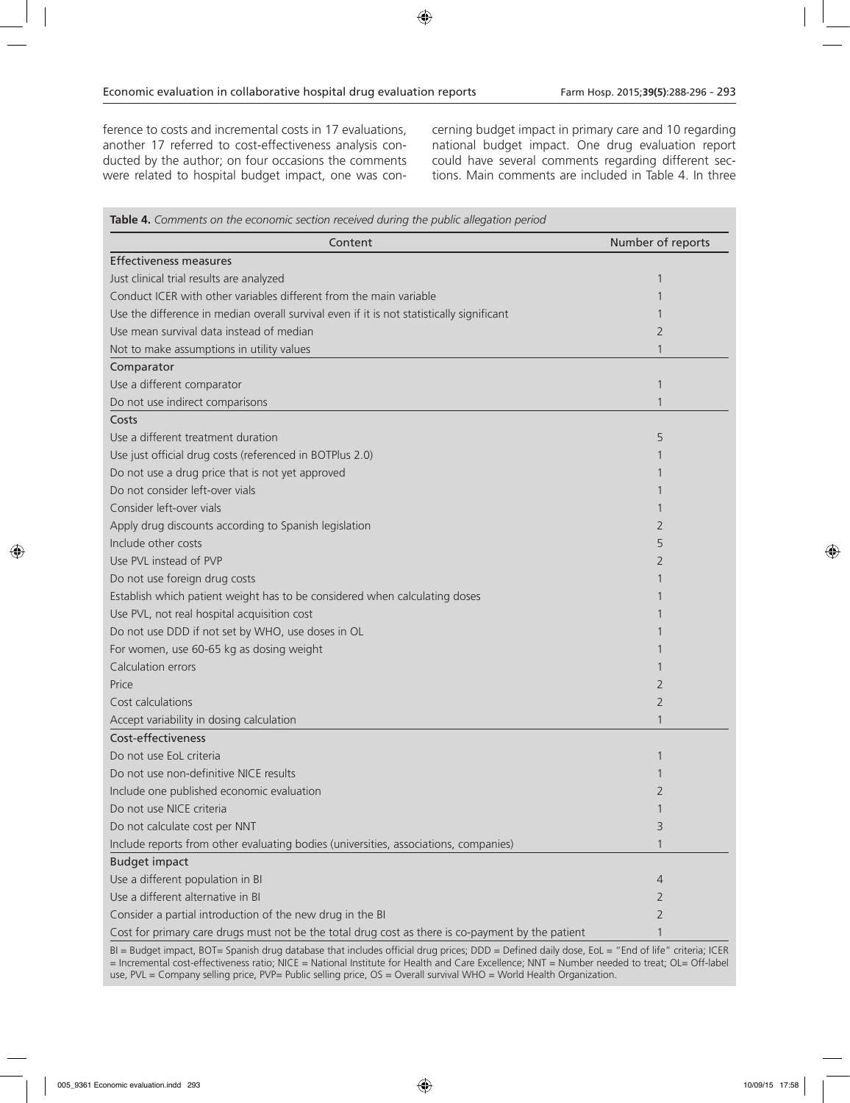ference to costs and incremental costs in 17 evaluations, another 17 referred to cost-effectiveness analysis conducted by the author; on four occasions the comments were related to hospital budget impact, one was concerning budget impact in primary care and 10 regarding national budget impact. One drug evaluation report could have several comments regarding different sections. Main comments are included in Table 4. In three

| Table 4. Comments on the economic section received during the public allegation period            |                   |
|---------------------------------------------------------------------------------------------------|-------------------|
| Content                                                                                           | Number of reports |
| <b>Effectiveness measures</b>                                                                     |                   |
| Just clinical trial results are analyzed                                                          | 1                 |
| Conduct ICER with other variables different from the main variable                                |                   |
| Use the difference in median overall survival even if it is not statistically significant         |                   |
| Use mean survival data instead of median                                                          | 2                 |
| Not to make assumptions in utility values                                                         | 1                 |
| Comparator                                                                                        |                   |
| Use a different comparator                                                                        | 1                 |
| Do not use indirect comparisons                                                                   | 1                 |
| Costs                                                                                             |                   |
| Use a different treatment duration                                                                | 5                 |
| Use just official drug costs (referenced in BOTPlus 2.0)                                          |                   |
| Do not use a drug price that is not yet approved                                                  |                   |
| Do not consider left-over vials                                                                   |                   |
| Consider left-over vials                                                                          |                   |
| Apply drug discounts according to Spanish legislation                                             | 2                 |
| Include other costs                                                                               | 5                 |
| Use PVL instead of PVP                                                                            | 2                 |
| Do not use foreign drug costs                                                                     |                   |
| Establish which patient weight has to be considered when calculating doses                        |                   |
| Use PVL, not real hospital acquisition cost                                                       |                   |
| Do not use DDD if not set by WHO, use doses in OL                                                 |                   |
| For women, use 60-65 kg as dosing weight                                                          |                   |
| Calculation errors                                                                                |                   |
| Price                                                                                             | 2                 |
| Cost calculations                                                                                 | 2                 |
| Accept variability in dosing calculation                                                          | 1                 |
| Cost-effectiveness                                                                                |                   |
| Do not use EoL criteria                                                                           | 1                 |
| Do not use non-definitive NICE results                                                            |                   |
| Include one published economic evaluation                                                         | $\overline{2}$    |
| Do not use NICE criteria                                                                          | 1                 |
| Do not calculate cost per NNT                                                                     | 3                 |
| Include reports from other evaluating bodies (universities, associations, companies)              | $\mathbf{1}$      |
| <b>Budget impact</b>                                                                              |                   |
| Use a different population in BI                                                                  | 4                 |
| Use a different alternative in BI                                                                 | 2                 |
| Consider a partial introduction of the new drug in the BI                                         | $\overline{2}$    |
| Cost for primary care drugs must not be the total drug cost as there is co-payment by the patient | 1                 |

BI = Budget impact, BOT= Spanish drug database that includes official drug prices; DDD = Defined daily dose, EoL = "End of life" criteria; ICER = Incremental cost-effectiveness ratio; NICE = National Institute for Health and Care Excellence; NNT = Number needed to treat; OL= Off-label use, PVL = Company selling price, PVP= Public selling price, OS = Overall survival WHO = World Health Organization.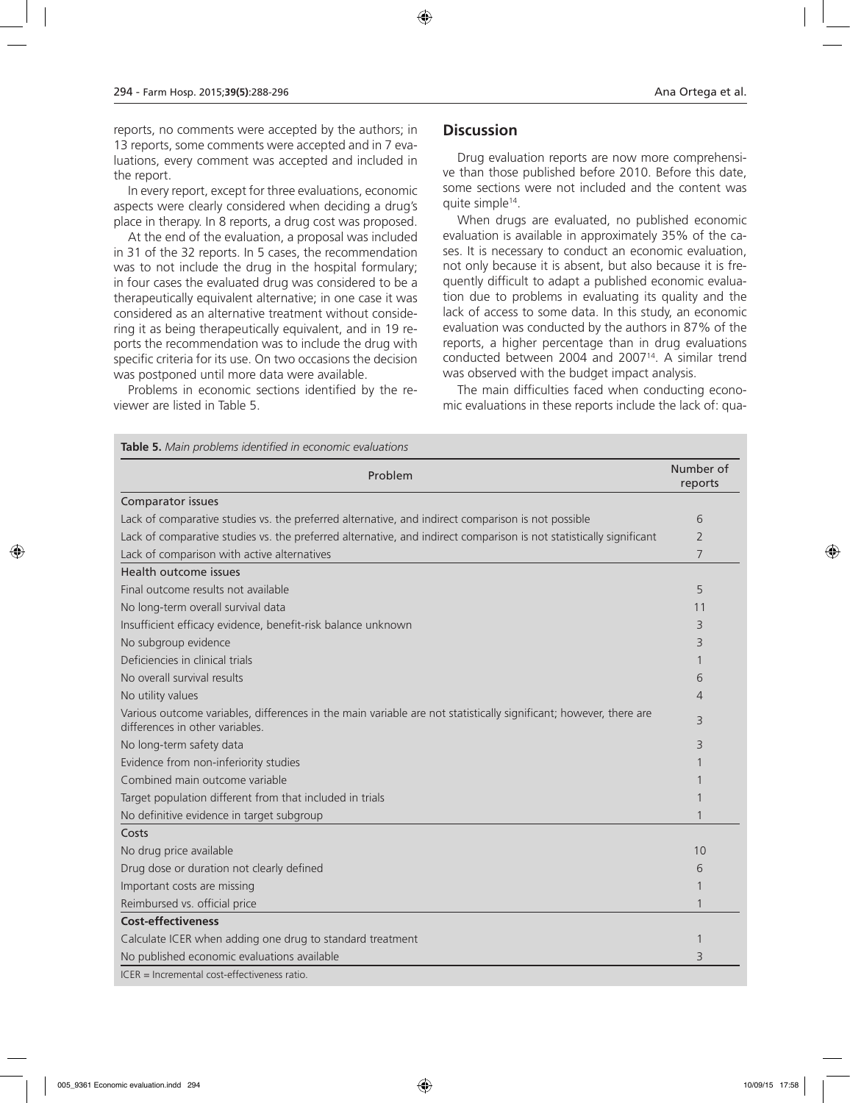reports, no comments were accepted by the authors; in 13 reports, some comments were accepted and in 7 evaluations, every comment was accepted and included in the report.

In every report, except for three evaluations, economic aspects were clearly considered when deciding a drug's place in therapy. In 8 reports, a drug cost was proposed.

At the end of the evaluation, a proposal was included in 31 of the 32 reports. In 5 cases, the recommendation was to not include the drug in the hospital formulary; in four cases the evaluated drug was considered to be a therapeutically equivalent alternative; in one case it was considered as an alternative treatment without considering it as being therapeutically equivalent, and in 19 reports the recommendation was to include the drug with specific criteria for its use. On two occasions the decision was postponed until more data were available.

Problems in economic sections identified by the reviewer are listed in Table 5.

### **Discussion**

Drug evaluation reports are now more comprehensive than those published before 2010. Before this date, some sections were not included and the content was quite simple14.

When drugs are evaluated, no published economic evaluation is available in approximately 35% of the cases. It is necessary to conduct an economic evaluation, not only because it is absent, but also because it is frequently difficult to adapt a published economic evaluation due to problems in evaluating its quality and the lack of access to some data. In this study, an economic evaluation was conducted by the authors in 87% of the reports, a higher percentage than in drug evaluations conducted between 2004 and 200714. A similar trend was observed with the budget impact analysis.

The main difficulties faced when conducting economic evaluations in these reports include the lack of: qua-

| Problem                                                                                                                                              | Number of<br>reports |
|------------------------------------------------------------------------------------------------------------------------------------------------------|----------------------|
| Comparator issues                                                                                                                                    |                      |
| Lack of comparative studies vs. the preferred alternative, and indirect comparison is not possible                                                   | 6                    |
| Lack of comparative studies vs. the preferred alternative, and indirect comparison is not statistically significant                                  | 2                    |
| Lack of comparison with active alternatives                                                                                                          | 7                    |
| Health outcome issues                                                                                                                                |                      |
| Final outcome results not available                                                                                                                  | 5                    |
| No long-term overall survival data                                                                                                                   | 11                   |
| Insufficient efficacy evidence, benefit-risk balance unknown                                                                                         | 3                    |
| No subgroup evidence                                                                                                                                 | 3                    |
| Deficiencies in clinical trials                                                                                                                      |                      |
| No overall survival results                                                                                                                          | 6                    |
| No utility values                                                                                                                                    | 4                    |
| Various outcome variables, differences in the main variable are not statistically significant; however, there are<br>differences in other variables. | 3                    |
| No long-term safety data                                                                                                                             | 3                    |
| Evidence from non-inferiority studies                                                                                                                |                      |
| Combined main outcome variable                                                                                                                       |                      |
| Target population different from that included in trials                                                                                             |                      |
| No definitive evidence in target subgroup                                                                                                            |                      |
| Costs                                                                                                                                                |                      |
| No drug price available                                                                                                                              | 10                   |
| Drug dose or duration not clearly defined                                                                                                            | 6                    |
| Important costs are missing                                                                                                                          |                      |
| Reimbursed vs. official price                                                                                                                        |                      |
| <b>Cost-effectiveness</b>                                                                                                                            |                      |
| Calculate ICER when adding one drug to standard treatment                                                                                            |                      |
| No published economic evaluations available                                                                                                          | 3                    |
| ICER = Incremental cost-effectiveness ratio.                                                                                                         |                      |

**Table 5.** *Main problems identified in economic evaluations*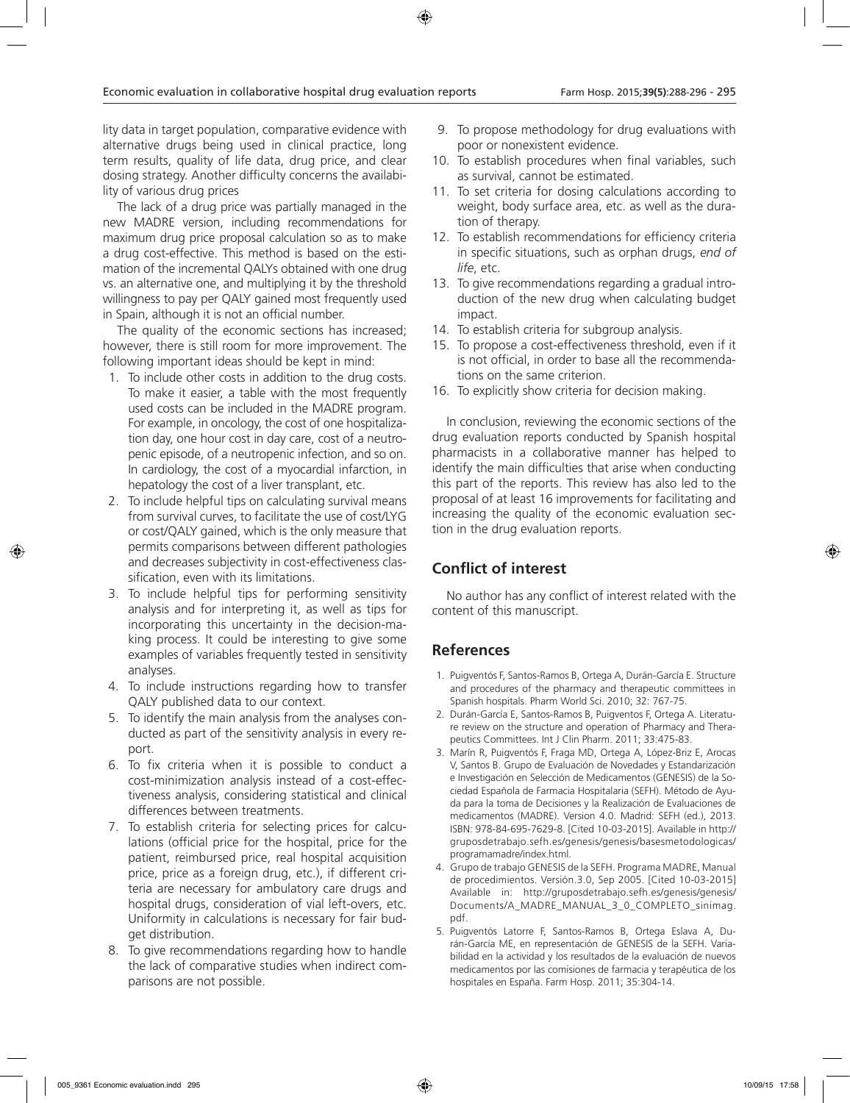lity data in target population, comparative evidence with alternative drugs being used in clinical practice, long term results, quality of life data, drug price, and clear dosing strategy. Another difficulty concerns the availability of various drug prices

The lack of a drug price was partially managed in the new MADRE version, including recommendations for maximum drug price proposal calculation so as to make a drug cost-effective. This method is based on the estimation of the incremental QALYs obtained with one drug vs. an alternative one, and multiplying it by the threshold willingness to pay per QALY gained most frequently used in Spain, although it is not an official number.

The quality of the economic sections has increased; however, there is still room for more improvement. The following important ideas should be kept in mind:

- 1. To include other costs in addition to the drug costs. To make it easier, a table with the most frequently used costs can be included in the MADRE program. For example, in oncology, the cost of one hospitalization day, one hour cost in day care, cost of a neutropenic episode, of a neutropenic infection, and so on. In cardiology, the cost of a myocardial infarction, in hepatology the cost of a liver transplant, etc.
- 2. To include helpful tips on calculating survival means from survival curves, to facilitate the use of cost/LYG or cost/QALY gained, which is the only measure that permits comparisons between different pathologies and decreases subjectivity in cost-effectiveness classification, even with its limitations.
- 3. To include helpful tips for performing sensitivity analysis and for interpreting it, as well as tips for incorporating this uncertainty in the decision-making process. It could be interesting to give some examples of variables frequently tested in sensitivity analyses.
- 4. To include instructions regarding how to transfer QALY published data to our context.
- 5. To identify the main analysis from the analyses conducted as part of the sensitivity analysis in every report.
- 6. To fix criteria when it is possible to conduct a cost-minimization analysis instead of a cost-effectiveness analysis, considering statistical and clinical differences between treatments.
- 7. To establish criteria for selecting prices for calculations (official price for the hospital, price for the patient, reimbursed price, real hospital acquisition price, price as a foreign drug, etc.), if different criteria are necessary for ambulatory care drugs and hospital drugs, consideration of vial left-overs, etc. Uniformity in calculations is necessary for fair budget distribution.
- 8. To give recommendations regarding how to handle the lack of comparative studies when indirect comparisons are not possible.
- 9. To propose methodology for drug evaluations with poor or nonexistent evidence.
- 10. To establish procedures when final variables, such as survival, cannot be estimated.
- 11. To set criteria for dosing calculations according to weight, body surface area, etc. as well as the duration of therapy.
- 12. To establish recommendations for efficiency criteria in specific situations, such as orphan drugs, *end of life*, etc.
- 13. To give recommendations regarding a gradual introduction of the new drug when calculating budget impact.
- 14. To establish criteria for subgroup analysis.
- 15. To propose a cost-effectiveness threshold, even if it is not official, in order to base all the recommendations on the same criterion.
- 16. To explicitly show criteria for decision making.

In conclusion, reviewing the economic sections of the drug evaluation reports conducted by Spanish hospital pharmacists in a collaborative manner has helped to identify the main difficulties that arise when conducting this part of the reports. This review has also led to the proposal of at least 16 improvements for facilitating and increasing the quality of the economic evaluation section in the drug evaluation reports.

# **Conflict of interest**

No author has any conflict of interest related with the content of this manuscript.

# **References**

- 1. Puigventós F, Santos-Ramos B, Ortega A, Durán-García E. Structure and procedures of the pharmacy and therapeutic committees in Spanish hospitals. Pharm World Sci. 2010; 32: 767-75.
- 2. Durán-García E, Santos-Ramos B, Puigventos F, Ortega A. Literature review on the structure and operation of Pharmacy and Therapeutics Committees. Int J Clin Pharm. 2011; 33:475-83.
- 3. Marín R, Puigventós F, Fraga MD, Ortega A, López-Briz E, Arocas V, Santos B. Grupo de Evaluación de Novedades y Estandarización e Investigación en Selección de Medicamentos (GENESIS) de la Sociedad Española de Farmacia Hospitalaria (SEFH). Método de Ayuda para la toma de Decisiones y la Realización de Evaluaciones de medicamentos (MADRE). Version 4.0. Madrid: SEFH (ed.), 2013. ISBN: 978-84-695-7629-8. [Cited 10-03-2015]. Available in http:// gruposdetrabajo.sefh.es/genesis/genesis/basesmetodologicas/ programamadre/index.html.
- 4. Grupo de trabajo GENESIS de la SEFH. Programa MADRE, Manual de procedimientos. Versión.3.0, Sep 2005. [Cited 10-03-2015] Available in: http://gruposdetrabajo.sefh.es/genesis/genesis/ Documents/A\_MADRE\_MANUAL\_3\_0\_COMPLETO\_sinimag. pdf.
- 5. Puigventós Latorre F, Santos-Ramos B, Ortega Eslava A, Durán-García ME, en representación de GENESIS de la SEFH. Variabilidad en la actividad y los resultados de la evaluación de nuevos medicamentos por las comisiones de farmacia y terapéutica de los hospitales en España. Farm Hosp. 2011; 35:304-14.